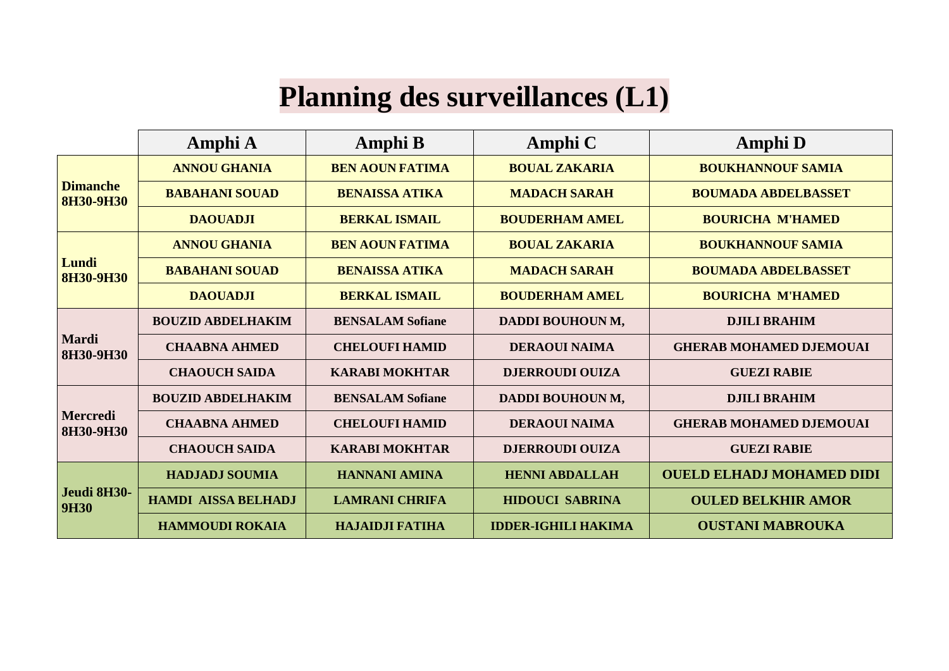## **Planning des surveillances (L1)**

|                                     | Amphi A                    | <b>Amphi B</b>          | <b>Amphi</b> C             | <b>Amphi</b> D                   |
|-------------------------------------|----------------------------|-------------------------|----------------------------|----------------------------------|
| <b>Dimanche</b><br><b>8H30-9H30</b> | <b>ANNOU GHANIA</b>        | <b>BEN AOUN FATIMA</b>  | <b>BOUAL ZAKARIA</b>       | <b>BOUKHANNOUF SAMIA</b>         |
|                                     | <b>BABAHANI SOUAD</b>      | <b>BENAISSA ATIKA</b>   | <b>MADACH SARAH</b>        | <b>BOUMADA ABDELBASSET</b>       |
|                                     | <b>DAOUADJI</b>            | <b>BERKAL ISMAIL</b>    | <b>BOUDERHAM AMEL</b>      | <b>BOURICHA M'HAMED</b>          |
| Lundi<br><b>8H30-9H30</b>           | <b>ANNOU GHANIA</b>        | <b>BEN AOUN FATIMA</b>  | <b>BOUAL ZAKARIA</b>       | <b>BOUKHANNOUF SAMIA</b>         |
|                                     | <b>BABAHANI SOUAD</b>      | <b>BENAISSA ATIKA</b>   | <b>MADACH SARAH</b>        | <b>BOUMADA ABDELBASSET</b>       |
|                                     | <b>DAOUADJI</b>            | <b>BERKAL ISMAIL</b>    | <b>BOUDERHAM AMEL</b>      | <b>BOURICHA M'HAMED</b>          |
| <b>Mardi</b><br>8H30-9H30           | <b>BOUZID ABDELHAKIM</b>   | <b>BENSALAM Sofiane</b> | DADDI BOUHOUN M,           | <b>DJILI BRAHIM</b>              |
|                                     | <b>CHAABNA AHMED</b>       | <b>CHELOUFI HAMID</b>   | <b>DERAOUI NAIMA</b>       | <b>GHERAB MOHAMED DJEMOUAI</b>   |
|                                     | <b>CHAOUCH SAIDA</b>       | <b>KARABI MOKHTAR</b>   | <b>DJERROUDI OUIZA</b>     | <b>GUEZI RABIE</b>               |
| Mercredi<br>8H30-9H30               | <b>BOUZID ABDELHAKIM</b>   | <b>BENSALAM Sofiane</b> | DADDI BOUHOUN M,           | <b>DJILI BRAHIM</b>              |
|                                     | <b>CHAABNA AHMED</b>       | <b>CHELOUFI HAMID</b>   | <b>DERAOUI NAIMA</b>       | <b>GHERAB MOHAMED DJEMOUAI</b>   |
|                                     | <b>CHAOUCH SAIDA</b>       | <b>KARABI MOKHTAR</b>   | <b>DJERROUDI OUIZA</b>     | <b>GUEZI RABIE</b>               |
| Jeudi 8H30-<br><b>9H30</b>          | <b>HADJADJ SOUMIA</b>      | <b>HANNANI AMINA</b>    | <b>HENNI ABDALLAH</b>      | <b>OUELD ELHADJ MOHAMED DIDI</b> |
|                                     | <b>HAMDI AISSA BELHADJ</b> | <b>LAMRANI CHRIFA</b>   | <b>HIDOUCI SABRINA</b>     | <b>OULED BELKHIR AMOR</b>        |
|                                     | <b>HAMMOUDI ROKAIA</b>     | <b>HAJAIDJI FATIHA</b>  | <b>IDDER-IGHILI HAKIMA</b> | <b>OUSTANI MABROUKA</b>          |